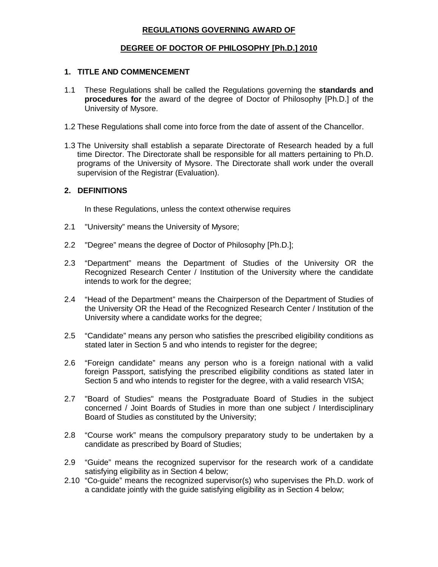### **REGULATIONS GOVERNING AWARD OF**

#### **DEGREE OF DOCTOR OF PHILOSOPHY [Ph.D.] 2010**

#### **1. TITLE AND COMMENCEMENT**

- 1.1 These Regulations shall be called the Regulations governing the **standards and procedures for** the award of the degree of Doctor of Philosophy [Ph.D.] of the University of Mysore.
- 1.2 These Regulations shall come into force from the date of assent of the Chancellor.
- 1.3 The University shall establish a separate Directorate of Research headed by a full time Director. The Directorate shall be responsible for all matters pertaining to Ph.D. programs of the University of Mysore. The Directorate shall work under the overall supervision of the Registrar (Evaluation).

#### **2. DEFINITIONS**

In these Regulations, unless the context otherwise requires

- 2.1 "University" means the University of Mysore;
- 2.2 "Degree" means the degree of Doctor of Philosophy [Ph.D.];
- 2.3 "Department" means the Department of Studies of the University OR the Recognized Research Center / Institution of the University where the candidate intends to work for the degree;
- 2.4 "Head of the Department" means the Chairperson of the Department of Studies of the University OR the Head of the Recognized Research Center / Institution of the University where a candidate works for the degree;
- 2.5 "Candidate" means any person who satisfies the prescribed eligibility conditions as stated later in Section 5 and who intends to register for the degree;
- 2.6 "Foreign candidate" means any person who is a foreign national with a valid foreign Passport, satisfying the prescribed eligibility conditions as stated later in Section 5 and who intends to register for the degree, with a valid research VISA;
- 2.7 "Board of Studies" means the Postgraduate Board of Studies in the subject concerned / Joint Boards of Studies in more than one subject / Interdisciplinary Board of Studies as constituted by the University;
- 2.8 "Course work" means the compulsory preparatory study to be undertaken by a candidate as prescribed by Board of Studies;
- 2.9 "Guide" means the recognized supervisor for the research work of a candidate satisfying eligibility as in Section 4 below;
- 2.10 "Co-guide" means the recognized supervisor(s) who supervises the Ph.D. work of a candidate jointly with the guide satisfying eligibility as in Section 4 below;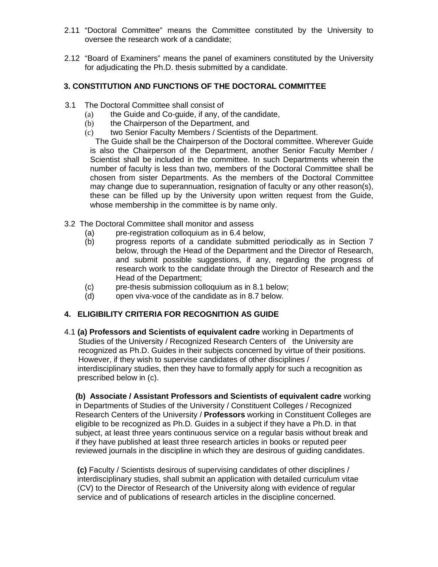- 2.11 "Doctoral Committee" means the Committee constituted by the University to oversee the research work of a candidate;
- 2.12 "Board of Examiners" means the panel of examiners constituted by the University for adjudicating the Ph.D. thesis submitted by a candidate.

### **3. CONSTITUTION AND FUNCTIONS OF THE DOCTORAL COMMITTEE**

- 3.1 The Doctoral Committee shall consist of
	- (a) the Guide and Co-guide, if any, of the candidate,
	- (b) the Chairperson of the Department, and
	- (c) two Senior Faculty Members / Scientists of the Department.

The Guide shall be the Chairperson of the Doctoral committee. Wherever Guide is also the Chairperson of the Department, another Senior Faculty Member / Scientist shall be included in the committee. In such Departments wherein the number of faculty is less than two, members of the Doctoral Committee shall be chosen from sister Departments. As the members of the Doctoral Committee may change due to superannuation, resignation of faculty or any other reason(s), these can be filled up by the University upon written request from the Guide, whose membership in the committee is by name only.

- 3.2 The Doctoral Committee shall monitor and assess
	- (a) pre-registration colloquium as in 6.4 below,
	- (b) progress reports of a candidate submitted periodically as in Section 7 below, through the Head of the Department and the Director of Research, and submit possible suggestions, if any, regarding the progress of research work to the candidate through the Director of Research and the Head of the Department;
	- (c) pre-thesis submission colloquium as in 8.1 below;
	- (d) open viva-voce of the candidate as in 8.7 below.

### **4. ELIGIBILITY CRITERIA FOR RECOGNITION AS GUIDE**

4.1 **(a) Professors and Scientists of equivalent cadre** working in Departments of Studies of the University / Recognized Research Centers of the University are recognized as Ph.D. Guides in their subjects concerned by virtue of their positions. However, if they wish to supervise candidates of other disciplines / interdisciplinary studies, then they have to formally apply for such a recognition as prescribed below in (c).

 **(b) Associate / Assistant Professors and Scientists of equivalent cadre** working in Departments of Studies of the University / Constituent Colleges / Recognized Research Centers of the University / **Professors** working in Constituent Colleges are eligible to be recognized as Ph.D. Guides in a subject if they have a Ph.D. in that subject, at least three years continuous service on a regular basis without break and if they have published at least three research articles in books or reputed peer reviewed journals in the discipline in which they are desirous of guiding candidates.

**(c)** Faculty / Scientists desirous of supervising candidates of other disciplines / interdisciplinary studies, shall submit an application with detailed curriculum vitae (CV) to the Director of Research of the University along with evidence of regular service and of publications of research articles in the discipline concerned.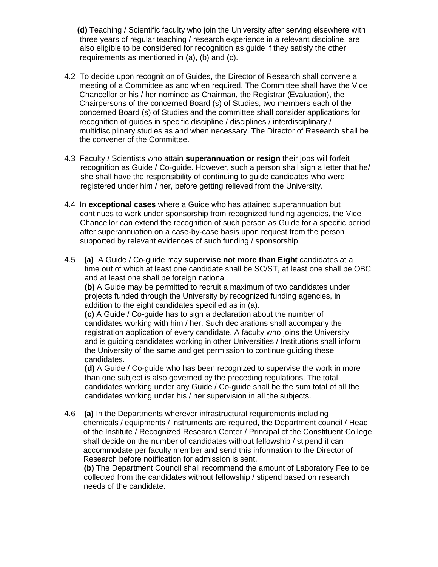**(d)** Teaching / Scientific faculty who join the University after serving elsewhere with three years of regular teaching / research experience in a relevant discipline, are also eligible to be considered for recognition as guide if they satisfy the other requirements as mentioned in (a), (b) and (c).

- 4.2 To decide upon recognition of Guides, the Director of Research shall convene a meeting of a Committee as and when required. The Committee shall have the Vice Chancellor or his / her nominee as Chairman, the Registrar (Evaluation), the Chairpersons of the concerned Board (s) of Studies, two members each of the concerned Board (s) of Studies and the committee shall consider applications for recognition of guides in specific discipline / disciplines / interdisciplinary / multidisciplinary studies as and when necessary. The Director of Research shall be the convener of the Committee.
- 4.3 Faculty / Scientists who attain **superannuation or resign** their jobs will forfeit recognition as Guide / Co-guide. However, such a person shall sign a letter that he/ she shall have the responsibility of continuing to guide candidates who were registered under him / her, before getting relieved from the University.
- 4.4 In **exceptional cases** where a Guide who has attained superannuation but continues to work under sponsorship from recognized funding agencies, the Vice Chancellor can extend the recognition of such person as Guide for a specific period after superannuation on a case-by-case basis upon request from the person supported by relevant evidences of such funding / sponsorship.
- 4.5 **(a)** A Guide / Co-guide may **supervise not more than Eight** candidates at a time out of which at least one candidate shall be SC/ST, at least one shall be OBC and at least one shall be foreign national.

**(b)** A Guide may be permitted to recruit a maximum of two candidates under projects funded through the University by recognized funding agencies, in addition to the eight candidates specified as in (a).

**(c)** A Guide / Co-guide has to sign a declaration about the number of candidates working with him / her. Such declarations shall accompany the registration application of every candidate. A faculty who joins the University and is guiding candidates working in other Universities / Institutions shall inform the University of the same and get permission to continue guiding these candidates.

**(d)** A Guide / Co-guide who has been recognized to supervise the work in more than one subject is also governed by the preceding regulations. The total candidates working under any Guide / Co-guide shall be the sum total of all the candidates working under his / her supervision in all the subjects.

4.6 **(a)** In the Departments wherever infrastructural requirements including chemicals / equipments / instruments are required, the Department council / Head of the Institute / Recognized Research Center / Principal of the Constituent College shall decide on the number of candidates without fellowship / stipend it can accommodate per faculty member and send this information to the Director of Research before notification for admission is sent.

 **(b)** The Department Council shall recommend the amount of Laboratory Fee to be collected from the candidates without fellowship / stipend based on research needs of the candidate.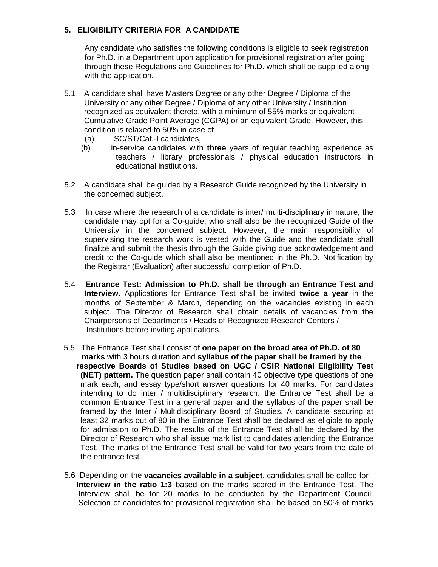### **5. ELIGIBILITY CRITERIA FOR A CANDIDATE**

Any candidate who satisfies the following conditions is eligible to seek registration for Ph.D. in a Department upon application for provisional registration after going through these Regulations and Guidelines for Ph.D. which shall be supplied along with the application.

- 5.1 A candidate shall have Masters Degree or any other Degree / Diploma of the University or any other Degree / Diploma of any other University / Institution recognized as equivalent thereto, with a minimum of 55% marks or equivalent Cumulative Grade Point Average (CGPA) or an equivalent Grade. However, this condition is relaxed to 50% in case of
	- (a) SC/ST/Cat.-I candidates,
	- (b) in-service candidates with **three** years of regular teaching experience as teachers / library professionals / physical education instructors in educational institutions.
- 5.2 A candidate shall be guided by a Research Guide recognized by the University in the concerned subject.
- 5.3 In case where the research of a candidate is inter/ multi-disciplinary in nature, the candidate may opt for a Co-guide, who shall also be the recognized Guide of the University in the concerned subject. However, the main responsibility of supervising the research work is vested with the Guide and the candidate shall finalize and submit the thesis through the Guide giving due acknowledgement and credit to the Co-guide which shall also be mentioned in the Ph.D. Notification by the Registrar (Evaluation) after successful completion of Ph.D.
- 5.4 **Entrance Test: Admission to Ph.D. shall be through an Entrance Test and Interview.** Applications for Entrance Test shall be invited **twice a year** in the months of September & March, depending on the vacancies existing in each subject. The Director of Research shall obtain details of vacancies from the Chairpersons of Departments / Heads of Recognized Research Centers / Institutions before inviting applications.
- 5.5 The Entrance Test shall consist of **one paper on the broad area of Ph.D. of 80 marks** with 3 hours duration and **syllabus of the paper shall be framed by the respective Boards of Studies based on UGC / CSIR National Eligibility Test (NET) pattern.** The question paper shall contain 40 objective type questions of one mark each, and essay type/short answer questions for 40 marks. For candidates intending to do inter / multidisciplinary research, the Entrance Test shall be a common Entrance Test in a general paper and the syllabus of the paper shall be framed by the Inter / Multidisciplinary Board of Studies. A candidate securing at least 32 marks out of 80 in the Entrance Test shall be declared as eligible to apply for admission to Ph.D. The results of the Entrance Test shall be declared by the Director of Research who shall issue mark list to candidates attending the Entrance Test. The marks of the Entrance Test shall be valid for two years from the date of the entrance test.
- 5.6 Depending on the **vacancies available in a subject**, candidates shall be called for  **Interview in the ratio 1:3** based on the marks scored in the Entrance Test. The Interview shall be for 20 marks to be conducted by the Department Council. Selection of candidates for provisional registration shall be based on 50% of marks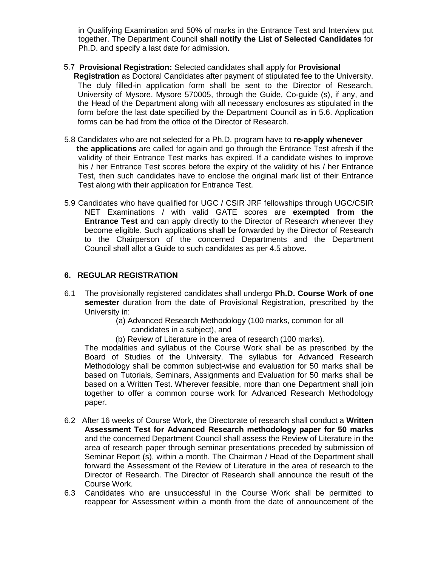in Qualifying Examination and 50% of marks in the Entrance Test and Interview put together. The Department Council **shall notify the List of Selected Candidates** for Ph.D. and specify a last date for admission.

- 5.7 **Provisional Registration:** Selected candidates shall apply for **Provisional**
	- **Registration** as Doctoral Candidates after payment of stipulated fee to the University. The duly filled-in application form shall be sent to the Director of Research, University of Mysore, Mysore 570005, through the Guide, Co-guide (s), if any, and the Head of the Department along with all necessary enclosures as stipulated in the form before the last date specified by the Department Council as in 5.6. Application forms can be had from the office of the Director of Research.
- 5.8 Candidates who are not selected for a Ph.D. program have to **re-apply whenever the applications** are called for again and go through the Entrance Test afresh if the validity of their Entrance Test marks has expired. If a candidate wishes to improve his / her Entrance Test scores before the expiry of the validity of his / her Entrance Test, then such candidates have to enclose the original mark list of their Entrance Test along with their application for Entrance Test.
- 5.9 Candidates who have qualified for UGC / CSIR JRF fellowships through UGC/CSIR NET Examinations / with valid GATE scores are **exempted from the Entrance Test** and can apply directly to the Director of Research whenever they become eligible. Such applications shall be forwarded by the Director of Research to the Chairperson of the concerned Departments and the Department Council shall allot a Guide to such candidates as per 4.5 above.

# **6. REGULAR REGISTRATION**

- 6.1 The provisionally registered candidates shall undergo **Ph.D. Course Work of one semester** duration from the date of Provisional Registration, prescribed by the University in:
	- (a) Advanced Research Methodology (100 marks, common for all candidates in a subject), and
	- (b) Review of Literature in the area of research (100 marks).

The modalities and syllabus of the Course Work shall be as prescribed by the Board of Studies of the University. The syllabus for Advanced Research Methodology shall be common subject-wise and evaluation for 50 marks shall be based on Tutorials, Seminars, Assignments and Evaluation for 50 marks shall be based on a Written Test. Wherever feasible, more than one Department shall join together to offer a common course work for Advanced Research Methodology paper.

- 6.2 After 16 weeks of Course Work, the Directorate of research shall conduct a **Written Assessment Test for Advanced Research methodology paper for 50 marks**  and the concerned Department Council shall assess the Review of Literature in the area of research paper through seminar presentations preceded by submission of Seminar Report (s), within a month. The Chairman / Head of the Department shall forward the Assessment of the Review of Literature in the area of research to the Director of Research. The Director of Research shall announce the result of the Course Work.
- 6.3 Candidates who are unsuccessful in the Course Work shall be permitted to reappear for Assessment within a month from the date of announcement of the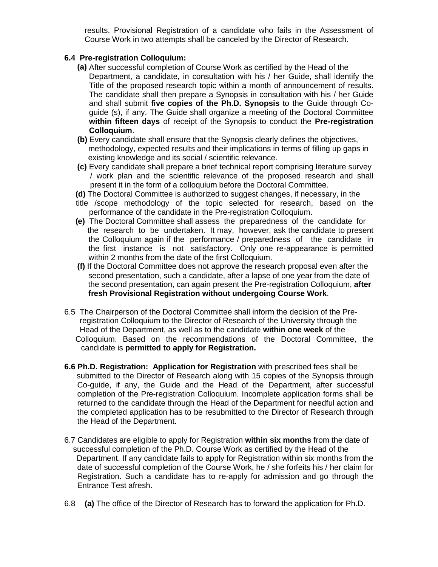results. Provisional Registration of a candidate who fails in the Assessment of Course Work in two attempts shall be canceled by the Director of Research.

#### **6.4 Pre-registration Colloquium:**

- **(a)** After successful completion of Course Work as certified by the Head of the Department, a candidate, in consultation with his / her Guide, shall identify the Title of the proposed research topic within a month of announcement of results. The candidate shall then prepare a Synopsis in consultation with his / her Guide and shall submit **five copies of the Ph.D. Synopsis** to the Guide through Coguide (s), if any. The Guide shall organize a meeting of the Doctoral Committee **within fifteen days** of receipt of the Synopsis to conduct the **Pre-registration Colloquium**.
- **(b)** Every candidate shall ensure that the Synopsis clearly defines the objectives, methodology, expected results and their implications in terms of filling up gaps in existing knowledge and its social / scientific relevance.
- **(c)** Every candidate shall prepare a brief technical report comprising literature survey / work plan and the scientific relevance of the proposed research and shall present it in the form of a colloquium before the Doctoral Committee.
- **(d)** The Doctoral Committee is authorized to suggest changes, if necessary, in the
- title /scope methodology of the topic selected for research, based on the performance of the candidate in the Pre-registration Colloquium.
- **(e)** The Doctoral Committee shall assess the preparedness of the candidate for the research to be undertaken. It may, however, ask the candidate to present the Colloquium again if the performance / preparedness of the candidate in the first instance is not satisfactory. Only one re-appearance is permitted within 2 months from the date of the first Colloquium.
- **(f)** If the Doctoral Committee does not approve the research proposal even after the second presentation, such a candidate, after a lapse of one year from the date of the second presentation, can again present the Pre-registration Colloquium, **after fresh Provisional Registration without undergoing Course Work**.
- 6.5 The Chairperson of the Doctoral Committee shall inform the decision of the Pre registration Colloquium to the Director of Research of the University through the Head of the Department, as well as to the candidate **within one week** of the Colloquium. Based on the recommendations of the Doctoral Committee, the candidate is **permitted to apply for Registration.**
- **6.6 Ph.D. Registration: Application for Registration** with prescribed fees shall be submitted to the Director of Research along with 15 copies of the Synopsis through Co-guide, if any, the Guide and the Head of the Department, after successful completion of the Pre-registration Colloquium. Incomplete application forms shall be returned to the candidate through the Head of the Department for needful action and the completed application has to be resubmitted to the Director of Research through the Head of the Department.
- 6.7 Candidates are eligible to apply for Registration **within six months** from the date of successful completion of the Ph.D. Course Work as certified by the Head of the Department. If any candidate fails to apply for Registration within six months from the date of successful completion of the Course Work, he / she forfeits his / her claim for Registration. Such a candidate has to re-apply for admission and go through the Entrance Test afresh.
- 6.8 **(a)** The office of the Director of Research has to forward the application for Ph.D.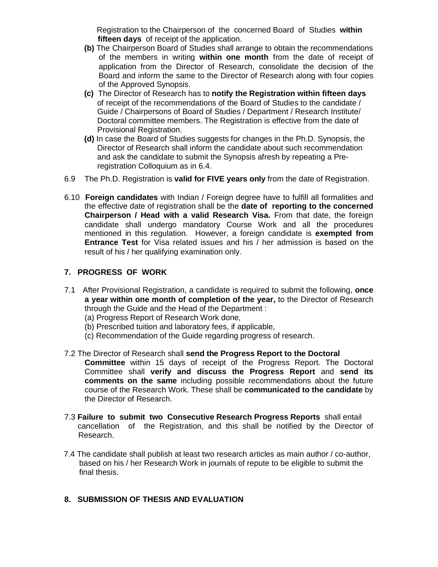Registration to the Chairperson of the concerned Board of Studies **within fifteen days** of receipt of the application.

- **(b)** The Chairperson Board of Studies shall arrange to obtain the recommendations of the members in writing **within one month** from the date of receipt of application from the Director of Research, consolidate the decision of the Board and inform the same to the Director of Research along with four copies of the Approved Synopsis.
- **(c)** The Director of Research has to **notify the Registration within fifteen days** of receipt of the recommendations of the Board of Studies to the candidate / Guide / Chairpersons of Board of Studies / Department / Research Institute/ Doctoral committee members. The Registration is effective from the date of Provisional Registration.
- **(d)** In case the Board of Studies suggests for changes in the Ph.D. Synopsis, the Director of Research shall inform the candidate about such recommendation and ask the candidate to submit the Synopsis afresh by repeating a Pre registration Colloquium as in 6.4.
- 6.9 The Ph.D. Registration is **valid for FIVE years only** from the date of Registration.
- 6.10 **Foreign candidates** with Indian / Foreign degree have to fulfill all formalities and the effective date of registration shall be the **date of reporting to the concerned Chairperson / Head with a valid Research Visa.** From that date, the foreign candidate shall undergo mandatory Course Work and all the procedures mentioned in this regulation. However, a foreign candidate is **exempted from Entrance Test** for Visa related issues and his / her admission is based on the result of his / her qualifying examination only.

### **7. PROGRESS OF WORK**

- 7.1 After Provisional Registration, a candidate is required to submit the following, **once a year within one month of completion of the year,** to the Director of Research through the Guide and the Head of the Department :
	- (a) Progress Report of Research Work done,
	- (b) Prescribed tuition and laboratory fees, if applicable,
	- (c) Recommendation of the Guide regarding progress of research.
- 7.2 The Director of Research shall **send the Progress Report to the Doctoral Committee** within 15 days of receipt of the Progress Report. The Doctoral Committee shall **verify and discuss the Progress Report** and **send its comments on the same** including possible recommendations about the future course of the Research Work. These shall be **communicated to the candidate** by the Director of Research.
- 7.3 **Failure to submit two Consecutive Research Progress Reports** shall entail cancellation of the Registration, and this shall be notified by the Director of Research.
- 7.4 The candidate shall publish at least two research articles as main author / co-author, based on his / her Research Work in journals of repute to be eligible to submit the final thesis.

### **8. SUBMISSION OF THESIS AND EVALUATION**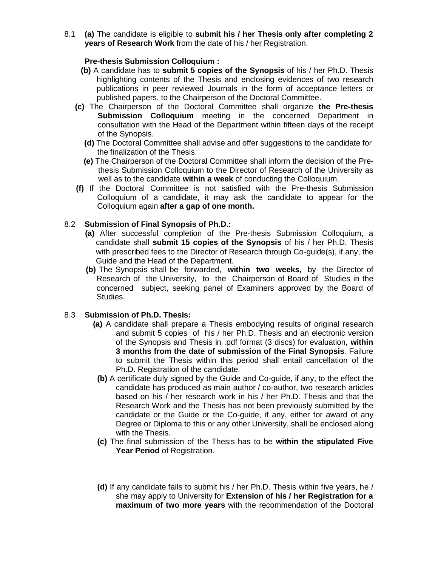8.1 **(a)** The candidate is eligible to **submit his / her Thesis only after completing 2 years of Research Work** from the date of his / her Registration.

#### **Pre-thesis Submission Colloquium :**

- **(b)** A candidate has to **submit 5 copies of the Synopsis** of his / her Ph.D. Thesis highlighting contents of the Thesis and enclosing evidences of two research publications in peer reviewed Journals in the form of acceptance letters or published papers, to the Chairperson of the Doctoral Committee.
- **(c)** The Chairperson of the Doctoral Committee shall organize **the Pre-thesis Submission Colloquium** meeting in the concerned Department in consultation with the Head of the Department within fifteen days of the receipt of the Synopsis.
	- **(d)** The Doctoral Committee shall advise and offer suggestions to the candidate for the finalization of the Thesis.
	- **(e)** The Chairperson of the Doctoral Committee shall inform the decision of the Prethesis Submission Colloquium to the Director of Research of the University as well as to the candidate **within a week** of conducting the Colloquium.
- **(f)** If the Doctoral Committee is not satisfied with the Pre-thesis Submission Colloquium of a candidate, it may ask the candidate to appear for the Colloquium again **after a gap of one month.**

#### 8.2 **Submission of Final Synopsis of Ph.D.:**

- **(a)** After successful completion of the Pre-thesis Submission Colloquium, a candidate shall **submit 15 copies of the Synopsis** of his / her Ph.D. Thesis with prescribed fees to the Director of Research through Co-guide(s), if any, the Guide and the Head of the Department.
- **(b)** The Synopsis shall be forwarded, **within two weeks,** by the Director of Research of the University, to the Chairperson of Board of Studies in the concerned subject, seeking panel of Examiners approved by the Board of Studies.

#### 8.3 **Submission of Ph.D. Thesis:**

- **(a)** A candidate shall prepare a Thesis embodying results of original research and submit 5 copies of his / her Ph.D. Thesis and an electronic version of the Synopsis and Thesis in .pdf format (3 discs) for evaluation, **within 3 months from the date of submission of the Final Synopsis**. Failure to submit the Thesis within this period shall entail cancellation of the Ph.D. Registration of the candidate.
- **(b)** A certificate duly signed by the Guide and Co-guide, if any, to the effect the candidate has produced as main author / co-author, two research articles based on his / her research work in his / her Ph.D. Thesis and that the Research Work and the Thesis has not been previously submitted by the candidate or the Guide or the Co-guide, if any, either for award of any Degree or Diploma to this or any other University, shall be enclosed along with the Thesis.
- **(c)** The final submission of the Thesis has to be **within the stipulated Five Year Period** of Registration.
- **(d)** If any candidate fails to submit his / her Ph.D. Thesis within five years, he / she may apply to University for **Extension of his / her Registration for a maximum of two more years** with the recommendation of the Doctoral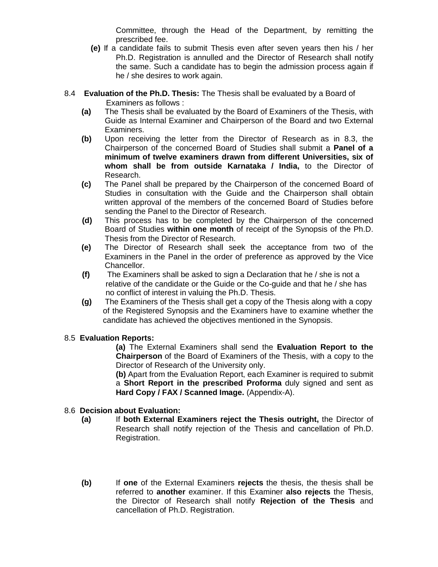Committee, through the Head of the Department, by remitting the prescribed fee.

- **(e)** If a candidate fails to submit Thesis even after seven years then his / her Ph.D. Registration is annulled and the Director of Research shall notify the same. Such a candidate has to begin the admission process again if he / she desires to work again.
- 8.4 **Evaluation of the Ph.D. Thesis:** The Thesis shall be evaluated by a Board of Examiners as follows :
	- **(a)** The Thesis shall be evaluated by the Board of Examiners of the Thesis, with Guide as Internal Examiner and Chairperson of the Board and two External Examiners.
	- **(b)** Upon receiving the letter from the Director of Research as in 8.3, the Chairperson of the concerned Board of Studies shall submit a **Panel of a minimum of twelve examiners drawn from different Universities, six of whom shall be from outside Karnataka / India,** to the Director of Research.
	- **(c)** The Panel shall be prepared by the Chairperson of the concerned Board of Studies in consultation with the Guide and the Chairperson shall obtain written approval of the members of the concerned Board of Studies before sending the Panel to the Director of Research.
	- **(d)** This process has to be completed by the Chairperson of the concerned Board of Studies **within one month** of receipt of the Synopsis of the Ph.D. Thesis from the Director of Research.
	- **(e)** The Director of Research shall seek the acceptance from two of the Examiners in the Panel in the order of preference as approved by the Vice Chancellor.
	- **(f)** The Examiners shall be asked to sign a Declaration that he / she is not a relative of the candidate or the Guide or the Co-guide and that he / she has no conflict of interest in valuing the Ph.D. Thesis.
	- **(g)** The Examiners of the Thesis shall get a copy of the Thesis along with a copy of the Registered Synopsis and the Examiners have to examine whether the candidate has achieved the objectives mentioned in the Synopsis.

# 8.5 **Evaluation Reports:**

**(a)** The External Examiners shall send the **Evaluation Report to the Chairperson** of the Board of Examiners of the Thesis, with a copy to the Director of Research of the University only.

**(b)** Apart from the Evaluation Report, each Examiner is required to submit a **Short Report in the prescribed Proforma** duly signed and sent as **Hard Copy / FAX / Scanned Image.** (Appendix-A).

### 8.6 **Decision about Evaluation:**

- **(a)** If **both External Examiners reject the Thesis outright,** the Director of Research shall notify rejection of the Thesis and cancellation of Ph.D. Registration.
- **(b)** If **one** of the External Examiners **rejects** the thesis, the thesis shall be referred to **another** examiner. If this Examiner **also rejects** the Thesis, the Director of Research shall notify **Rejection of the Thesis** and cancellation of Ph.D. Registration.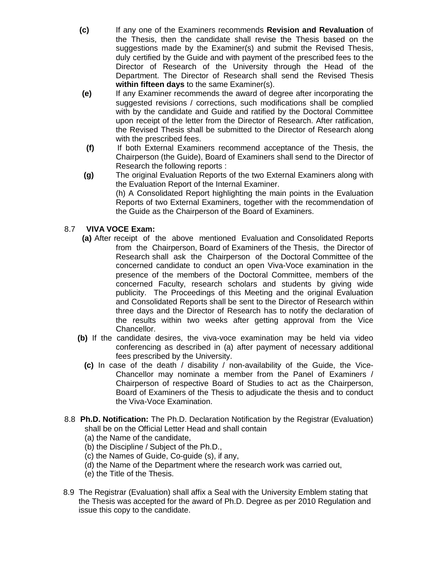- **(c)** If any one of the Examiners recommends **Revision and Revaluation** of the Thesis, then the candidate shall revise the Thesis based on the suggestions made by the Examiner(s) and submit the Revised Thesis, duly certified by the Guide and with payment of the prescribed fees to the Director of Research of the University through the Head of the Department. The Director of Research shall send the Revised Thesis **within fifteen days** to the same Examiner(s).
- **(e)** If any Examiner recommends the award of degree after incorporating the suggested revisions / corrections, such modifications shall be complied with by the candidate and Guide and ratified by the Doctoral Committee upon receipt of the letter from the Director of Research. After ratification, the Revised Thesis shall be submitted to the Director of Research along with the prescribed fees.
- **(f)** If both External Examiners recommend acceptance of the Thesis, the Chairperson (the Guide), Board of Examiners shall send to the Director of Research the following reports :
- **(g)** The original Evaluation Reports of the two External Examiners along with the Evaluation Report of the Internal Examiner. (h) A Consolidated Report highlighting the main points in the Evaluation

Reports of two External Examiners, together with the recommendation of the Guide as the Chairperson of the Board of Examiners.

# 8.7 **VIVA VOCE Exam:**

- **(a)** After receipt of the above mentioned Evaluation and Consolidated Reports from the Chairperson, Board of Examiners of the Thesis, the Director of Research shall ask the Chairperson of the Doctoral Committee of the concerned candidate to conduct an open Viva-Voce examination in the presence of the members of the Doctoral Committee, members of the concerned Faculty, research scholars and students by giving wide publicity. The Proceedings of this Meeting and the original Evaluation and Consolidated Reports shall be sent to the Director of Research within three days and the Director of Research has to notify the declaration of the results within two weeks after getting approval from the Vice Chancellor.
- **(b)** If the candidate desires, the viva-voce examination may be held via video conferencing as described in (a) after payment of necessary additional fees prescribed by the University.
	- **(c)** In case of the death / disability / non-availability of the Guide, the Vice-Chancellor may nominate a member from the Panel of Examiners / Chairperson of respective Board of Studies to act as the Chairperson, Board of Examiners of the Thesis to adjudicate the thesis and to conduct the Viva-Voce Examination.
- 8.8 **Ph.D. Notification:** The Ph.D. Declaration Notification by the Registrar (Evaluation) shall be on the Official Letter Head and shall contain
	- (a) the Name of the candidate,
	- (b) the Discipline / Subject of the Ph.D.,
	- (c) the Names of Guide, Co-guide (s), if any,
	- (d) the Name of the Department where the research work was carried out,
	- (e) the Title of the Thesis.
- 8.9 The Registrar (Evaluation) shall affix a Seal with the University Emblem stating that the Thesis was accepted for the award of Ph.D. Degree as per 2010 Regulation and issue this copy to the candidate.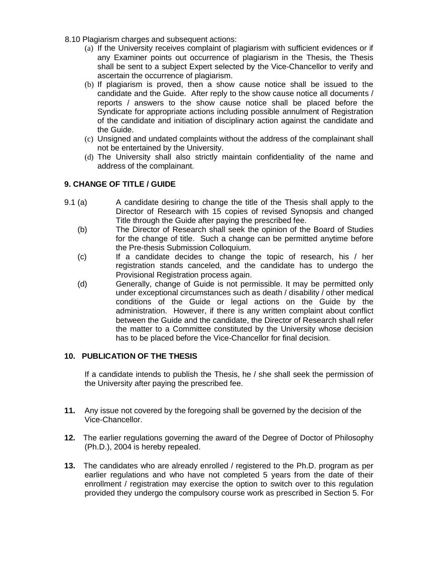- 8.10 Plagiarism charges and subsequent actions:
	- (a) If the University receives complaint of plagiarism with sufficient evidences or if any Examiner points out occurrence of plagiarism in the Thesis, the Thesis shall be sent to a subject Expert selected by the Vice-Chancellor to verify and ascertain the occurrence of plagiarism.
	- (b) If plagiarism is proved, then a show cause notice shall be issued to the candidate and the Guide. After reply to the show cause notice all documents / reports / answers to the show cause notice shall be placed before the Syndicate for appropriate actions including possible annulment of Registration of the candidate and initiation of disciplinary action against the candidate and the Guide.
	- (c) Unsigned and undated complaints without the address of the complainant shall not be entertained by the University.
	- (d) The University shall also strictly maintain confidentiality of the name and address of the complainant.

### **9. CHANGE OF TITLE / GUIDE**

- 9.1 (a) A candidate desiring to change the title of the Thesis shall apply to the Director of Research with 15 copies of revised Synopsis and changed Title through the Guide after paying the prescribed fee.
	- (b) The Director of Research shall seek the opinion of the Board of Studies for the change of title. Such a change can be permitted anytime before the Pre-thesis Submission Colloquium.
	- (c) If a candidate decides to change the topic of research, his / her registration stands canceled, and the candidate has to undergo the Provisional Registration process again.
	- (d) Generally, change of Guide is not permissible. It may be permitted only under exceptional circumstances such as death / disability / other medical conditions of the Guide or legal actions on the Guide by the administration. However, if there is any written complaint about conflict between the Guide and the candidate, the Director of Research shall refer the matter to a Committee constituted by the University whose decision has to be placed before the Vice-Chancellor for final decision.

### **10. PUBLICATION OF THE THESIS**

If a candidate intends to publish the Thesis, he / she shall seek the permission of the University after paying the prescribed fee.

- **11.** Any issue not covered by the foregoing shall be governed by the decision of the Vice-Chancellor.
- **12.** The earlier regulations governing the award of the Degree of Doctor of Philosophy (Ph.D.), 2004 is hereby repealed.
- **13.** The candidates who are already enrolled / registered to the Ph.D. program as per earlier regulations and who have not completed 5 years from the date of their enrollment / registration may exercise the option to switch over to this regulation provided they undergo the compulsory course work as prescribed in Section 5. For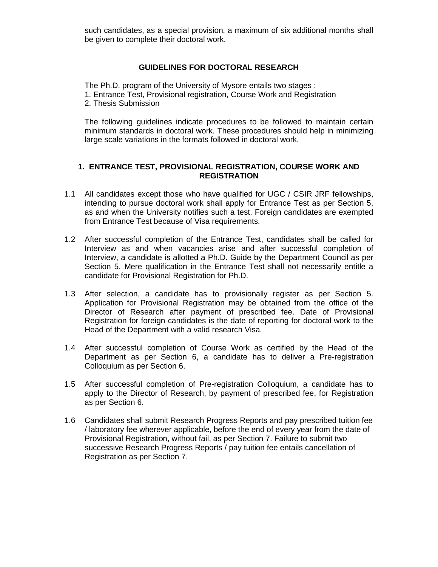such candidates, as a special provision, a maximum of six additional months shall be given to complete their doctoral work.

### **GUIDELINES FOR DOCTORAL RESEARCH**

The Ph.D. program of the University of Mysore entails two stages : 1. Entrance Test, Provisional registration, Course Work and Registration 2. Thesis Submission

The following guidelines indicate procedures to be followed to maintain certain minimum standards in doctoral work. These procedures should help in minimizing large scale variations in the formats followed in doctoral work.

#### **1. ENTRANCE TEST, PROVISIONAL REGISTRATION, COURSE WORK AND REGISTRATION**

- 1.1 All candidates except those who have qualified for UGC / CSIR JRF fellowships, intending to pursue doctoral work shall apply for Entrance Test as per Section 5, as and when the University notifies such a test. Foreign candidates are exempted from Entrance Test because of Visa requirements.
- 1.2 After successful completion of the Entrance Test, candidates shall be called for Interview as and when vacancies arise and after successful completion of Interview, a candidate is allotted a Ph.D. Guide by the Department Council as per Section 5. Mere qualification in the Entrance Test shall not necessarily entitle a candidate for Provisional Registration for Ph.D.
- 1.3 After selection, a candidate has to provisionally register as per Section 5. Application for Provisional Registration may be obtained from the office of the Director of Research after payment of prescribed fee. Date of Provisional Registration for foreign candidates is the date of reporting for doctoral work to the Head of the Department with a valid research Visa.
- 1.4 After successful completion of Course Work as certified by the Head of the Department as per Section 6, a candidate has to deliver a Pre-registration Colloquium as per Section 6.
- 1.5 After successful completion of Pre-registration Colloquium, a candidate has to apply to the Director of Research, by payment of prescribed fee, for Registration as per Section 6.
- 1.6 Candidates shall submit Research Progress Reports and pay prescribed tuition fee / laboratory fee wherever applicable, before the end of every year from the date of Provisional Registration, without fail, as per Section 7. Failure to submit two successive Research Progress Reports / pay tuition fee entails cancellation of Registration as per Section 7.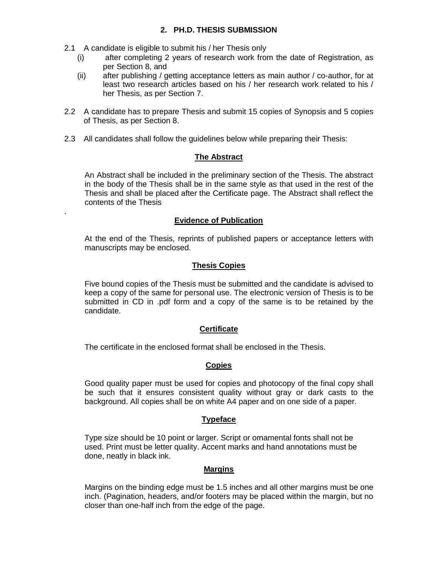2.1 A candidate is eligible to submit his / her Thesis only

.

- (i) after completing 2 years of research work from the date of Registration, as per Section 8, and
- (ii) after publishing / getting acceptance letters as main author / co-author, for at least two research articles based on his / her research work related to his / her Thesis, as per Section 7.
- 2.2 A candidate has to prepare Thesis and submit 15 copies of Synopsis and 5 copies of Thesis, as per Section 8.
- 2.3 All candidates shall follow the guidelines below while preparing their Thesis:

### **The Abstract**

An Abstract shall be included in the preliminary section of the Thesis. The abstract in the body of the Thesis shall be in the same style as that used in the rest of the Thesis and shall be placed after the Certificate page. The Abstract shall reflect the contents of the Thesis

### **Evidence of Publication**

At the end of the Thesis, reprints of published papers or acceptance letters with manuscripts may be enclosed.

### **Thesis Copies**

Five bound copies of the Thesis must be submitted and the candidate is advised to keep a copy of the same for personal use. The electronic version of Thesis is to be submitted in CD in .pdf form and a copy of the same is to be retained by the candidate.

# **Certificate**

The certificate in the enclosed format shall be enclosed in the Thesis.

# **Copies**

Good quality paper must be used for copies and photocopy of the final copy shall be such that it ensures consistent quality without gray or dark casts to the background. All copies shall be on white A4 paper and on one side of a paper.

### **Typeface**

Type size should be 10 point or larger. Script or ornamental fonts shall not be used. Print must be letter quality. Accent marks and hand annotations must be done, neatly in black ink.

### **Margins**

Margins on the binding edge must be 1.5 inches and all other margins must be one inch. (Pagination, headers, and/or footers may be placed within the margin, but no closer than one-half inch from the edge of the page.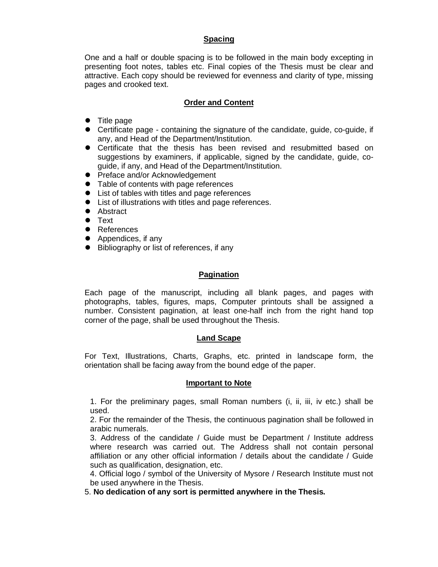### **Spacing**

One and a half or double spacing is to be followed in the main body excepting in presenting foot notes, tables etc. Final copies of the Thesis must be clear and attractive. Each copy should be reviewed for evenness and clarity of type, missing pages and crooked text.

## **Order and Content**

- Title page
- Certificate page containing the signature of the candidate, guide, co-guide, if any, and Head of the Department/Institution.
- Certificate that the thesis has been revised and resubmitted based on suggestions by examiners, if applicable, signed by the candidate, guide, coguide, if any, and Head of the Department/Institution.
- Preface and/or Acknowledgement
- Table of contents with page references
- List of tables with titles and page references
- List of illustrations with titles and page references.
- Abstract
- **•** Text
- **•** References
- Appendices, if any
- Bibliography or list of references, if any

### **Pagination**

Each page of the manuscript, including all blank pages, and pages with photographs, tables, figures, maps, Computer printouts shall be assigned a number. Consistent pagination, at least one-half inch from the right hand top corner of the page, shall be used throughout the Thesis.

### **Land Scape**

For Text, Illustrations, Charts, Graphs, etc. printed in landscape form, the orientation shall be facing away from the bound edge of the paper.

### **Important to Note**

1. For the preliminary pages, small Roman numbers (i, ii, iii, iv etc.) shall be used.

2. For the remainder of the Thesis, the continuous pagination shall be followed in arabic numerals.

3. Address of the candidate / Guide must be Department / Institute address where research was carried out. The Address shall not contain personal affiliation or any other official information / details about the candidate / Guide such as qualification, designation, etc.

4. Official logo / symbol of the University of Mysore / Research Institute must not be used anywhere in the Thesis.

5. **No dedication of any sort is permitted anywhere in the Thesis.**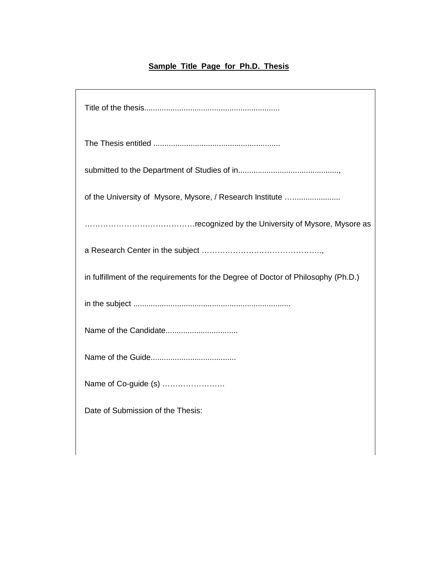# **Sample Title Page for Ph.D. Thesis**

٦

| of the University of Mysore, Mysore, / Research Institute                         |
|-----------------------------------------------------------------------------------|
|                                                                                   |
|                                                                                   |
| in fulfillment of the requirements for the Degree of Doctor of Philosophy (Ph.D.) |
|                                                                                   |
|                                                                                   |
|                                                                                   |
| Name of Co-guide (s)                                                              |
| Date of Submission of the Thesis:                                                 |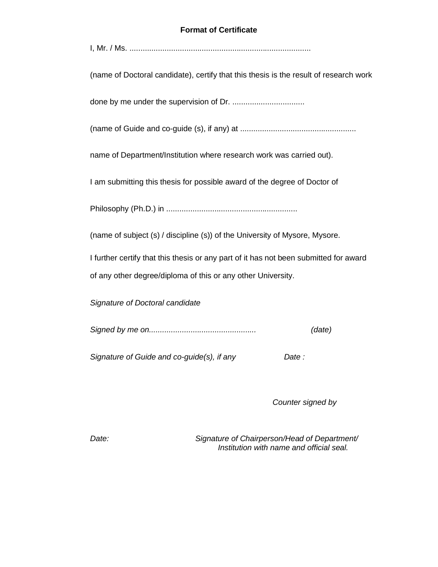### **Format of Certificate**

|--|--|

(name of Doctoral candidate), certify that this thesis is the result of research work

done by me under the supervision of Dr. .................................

(name of Guide and co-guide (s), if any) at .....................................................

name of Department/Institution where research work was carried out).

I am submitting this thesis for possible award of the degree of Doctor of

Philosophy (Ph.D.) in ............................................................

(name of subject (s) / discipline (s)) of the University of Mysore, Mysore.

I further certify that this thesis or any part of it has not been submitted for award of any other degree/diploma of this or any other University.

*Signature of Doctoral candidate*

|  | (date) |
|--|--------|
|--|--------|

*Signature of Guide and co-guide(s), if any Date :*

*Counter signed by*

*Date: Signature of Chairperson/Head of Department/ Institution with name and official seal.*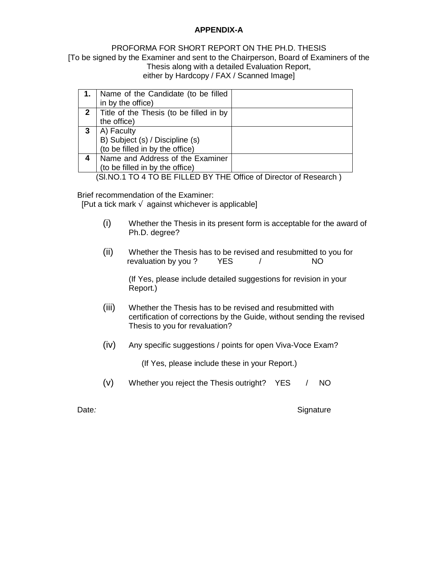### **APPENDIX-A**

### PROFORMA FOR SHORT REPORT ON THE PH.D. THESIS [To be signed by the Examiner and sent to the Chairperson, Board of Examiners of the Thesis along with a detailed Evaluation Report, either by Hardcopy / FAX / Scanned Image]

|   | Name of the Candidate (to be filled     |  |
|---|-----------------------------------------|--|
|   | in by the office)                       |  |
|   | Title of the Thesis (to be filled in by |  |
|   | the office)                             |  |
|   | A) Faculty                              |  |
|   | B) Subject (s) / Discipline (s)         |  |
|   | (to be filled in by the office)         |  |
| 4 | Name and Address of the Examiner        |  |
|   | (to be filled in by the office)         |  |

(Sl.NO.1 TO 4 TO BE FILLED BY THE Office of Director of Research )

Brief recommendation of the Examiner:

[Put a tick mark against whichever is applicable]

- (i) Whether the Thesis in its present form is acceptable for the award of Ph.D. degree?
- (ii) Whether the Thesis has to be revised and resubmitted to you for revaluation by you ? YES / NO

(If Yes, please include detailed suggestions for revision in your Report.)

- (iii) Whether the Thesis has to be revised and resubmitted with certification of corrections by the Guide, without sending the revised Thesis to you for revaluation?
- (iv) Any specific suggestions / points for open Viva-Voce Exam?

(If Yes, please include these in your Report.)

(v) Whether you reject the Thesis outright? YES / NO

Date: **Date**: **Signature CONSISTENT CONSISTENT CONSISTENT CONSISTENT CONSISTENT CONSISTENT CONSISTENT CONSISTENT CONSISTENT CONSISTENT CONSISTENT CONSISTENT CONSISTENT CONSISTENT CONSISTENT CONSISTENT CONSISTENT CONSISTE**